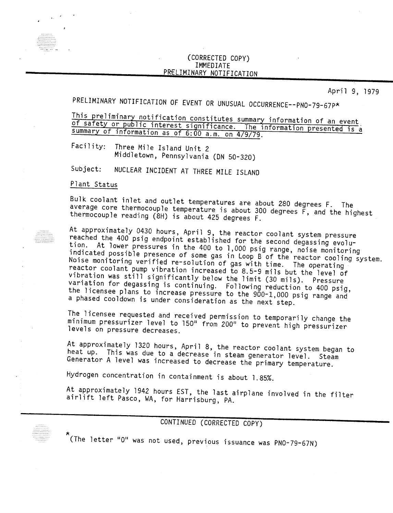## (CORRECTED COPY) IMMEDIAN<br>NADV NAT PRELIMINARY NOTIFICATI

April 9, 1979

PRELIMINARY NOTIFICATION OF EVENT OR UNUSUAL OCCURRENCE--PNO-79-67P\*

This preliminary notification constitutes summary information of an event, of safety or public interest significance. The information presented is a summary of information as of 6:00 a.m. on 4/9/79.

Facility: Three Mile Island Unit 2 Middletown) Pennsylvania *(ON 50-320)*

NUCLEAR INCIDENT AT THREE MILE ISLAND  $Subject:$ 

Plant Status

Bulk coolant inlet and outlet temperatures are about 280 degrees F. The average core thermocouple temperature is about 300 degrees  $\tilde{F}$ , and the highest thermocouple reading (8H) is about 425 degrees F.

At approximately 0430 hours, April 9, the reactor coolant system pressure reached the 400 psig endpoint established for the second degassing evolution. At lower pressures in the 400 to 1,000 psig range, noise monitoring indicated possible presence of some gas in Loop B of the reactor cooling system. Noise monitoring verified re-solution of gas with time. The operating reactor coolant pump vibration increased to 8.5-9 mils but the level of vibration was still significantly below the limit (30 mils). Pressure variation for degassing is continuing. Following reduction to 400 psig, the licensee plans to increase pressure to the 900-1,000 psig range and a phased cooldown is under consideration as the next step.

The licensee requested and received permission to temporarily change the minimum pressurizer level to 150" from 200" to prevent high pressurizer levels on pressure decreases.

At approximately 1320 hours, April 8, the reactor coolant system began to heat up. This was due to a decrease in steam generator level. Steam Generator A level was increased to decrease the primary temperature.

Hydrogen concentration in containment is about 1.85%.

At approximately 1942 hours EST, the last airplane involved in the filter airlift left Pasco, WA, for Harrisburg, PA.

## CONTINUED (CORRECTED COPY)

The letter "O" was not used previous issuance was PNO-79-67N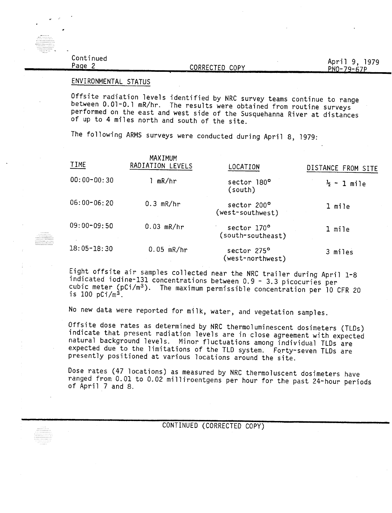| Continued<br>Page | CORRECTED COPY | April 9, 1979<br>PN0-79-67P |
|-------------------|----------------|-----------------------------|
|                   |                |                             |

## ENVIRONMENTAL STATUS

\_ ..... \_\_ ......

Offsite radiation levels identified by NRC survey teams continue to range between 0.01-0.1 mR/hr. The results were obtained from routine surveys performed on the east and west side of the Susquehanna River at distances of up to 4 miles north and south of the site.

The following ARMS surveys were conducted during April 8, 1979:

| TIME            | MAXIMUM<br>RADIATION LEVELS | LOCATION                         | DISTANCE FROM SITE     |
|-----------------|-----------------------------|----------------------------------|------------------------|
| $00:00 - 00:30$ | mR/hr                       | sector 180°<br>(south)           | $\frac{1}{2} - 1$ mile |
| 06:00-06:20     | $0.3$ mR/hr                 | sector 200°<br>(west-southwest)  | 1 mile                 |
| 09:00-09:50     | $0.03$ mR/hr                | sector 170°<br>(south-southeast) | 1 mile                 |
| 18:05-18:30     | $0.05$ mR/hr                | sector 275°<br>(west-northwest)  | 3 miles                |

Eight offsite air samples collected near the NRC trailer during April 1-8 indicated iodine-131 concentrations between 0.9 - 3.3 picocuries per cubic meter (pCi/m3). The maximum permissible concentration per 10 CFR 20 is 100  $pCi/m^3$ .

No new data were reported for milk, water, and vegetation samples.

Offsite dose rates as determined by NRC thermoluminescent dosimeters (TLDs) indicate that present radiation levels are in close agreement with expected natural background levels. Minor fluctuations among individual TLDs are expected due to the limitations of the TLD system. Forty-seven TLDs are presently positioned at various locations around the site.

Dose rates (47 locations) as measured by NRC thermoluscent dosimeters have ranged from 0.01 to 0.02 milliroentgens per hour for the past 24-hour periods of April 7 and 8.

CONTINUED (CORRECTED COPY)